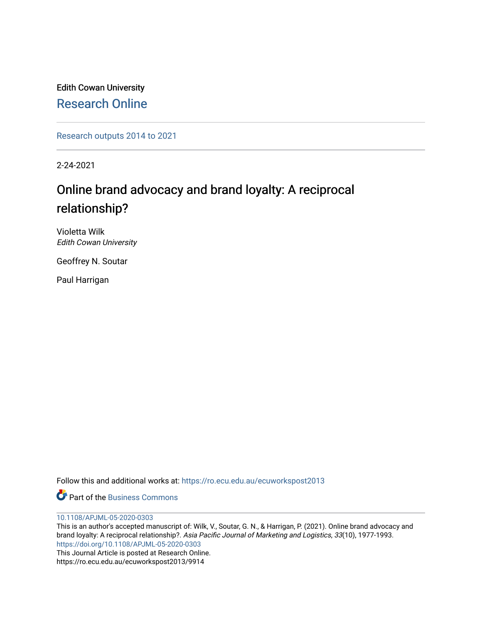Edith Cowan University [Research Online](https://ro.ecu.edu.au/) 

[Research outputs 2014 to 2021](https://ro.ecu.edu.au/ecuworkspost2013) 

2-24-2021

# Online brand advocacy and brand loyalty: A reciprocal relationship?

Violetta Wilk Edith Cowan University

Geoffrey N. Soutar

Paul Harrigan

Follow this and additional works at: [https://ro.ecu.edu.au/ecuworkspost2013](https://ro.ecu.edu.au/ecuworkspost2013?utm_source=ro.ecu.edu.au%2Fecuworkspost2013%2F9914&utm_medium=PDF&utm_campaign=PDFCoverPages) 

**C** Part of the [Business Commons](http://network.bepress.com/hgg/discipline/622?utm_source=ro.ecu.edu.au%2Fecuworkspost2013%2F9914&utm_medium=PDF&utm_campaign=PDFCoverPages)

[10.1108/APJML-05-2020-0303](http://dx.doi.org/10.1108/APJML-05-2020-0303) 

This is an author's accepted manuscript of: Wilk, V., Soutar, G. N., & Harrigan, P. (2021). Online brand advocacy and brand loyalty: A reciprocal relationship?. Asia Pacific Journal of Marketing and Logistics, 33(10), 1977-1993. <https://doi.org/10.1108/APJML-05-2020-0303> This Journal Article is posted at Research Online.

https://ro.ecu.edu.au/ecuworkspost2013/9914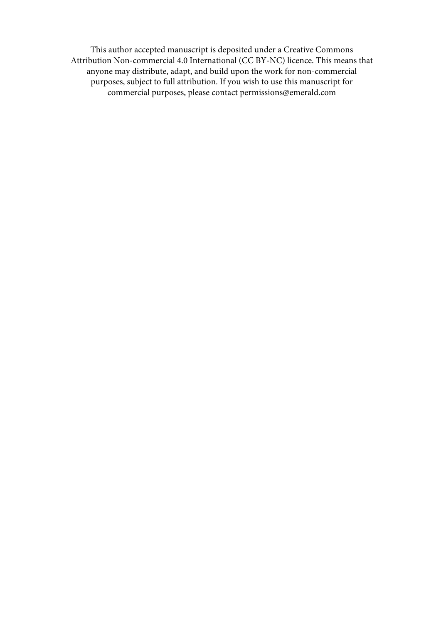This author accepted manuscript is deposited under a Creative Commons Attribution Non-commercial 4.0 International [\(CC BY-NC\)](http://creativecommons.org/licenses/by-nc/4.0/) licence. This means that anyone may distribute, adapt, and build upon the work for non-commercial purposes, subject to full attribution. If you wish to use this manuscript for commercial purposes, please contact permissions@emerald.com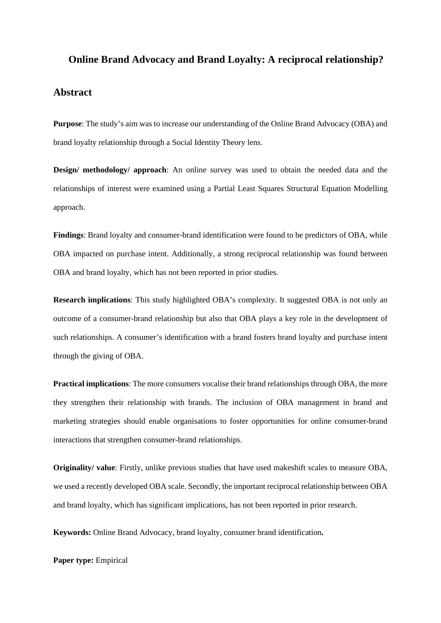# **Online Brand Advocacy and Brand Loyalty: A reciprocal relationship?**

# **Abstract**

**Purpose**: The study's aim was to increase our understanding of the Online Brand Advocacy (OBA) and brand loyalty relationship through a Social Identity Theory lens.

**Design/ methodology/ approach**: An online survey was used to obtain the needed data and the relationships of interest were examined using a Partial Least Squares Structural Equation Modelling approach.

**Findings**: Brand loyalty and consumer-brand identification were found to be predictors of OBA, while OBA impacted on purchase intent. Additionally, a strong reciprocal relationship was found between OBA and brand loyalty, which has not been reported in prior studies.

**Research implications**: This study highlighted OBA's complexity. It suggested OBA is not only an outcome of a consumer-brand relationship but also that OBA plays a key role in the development of such relationships. A consumer's identification with a brand fosters brand loyalty and purchase intent through the giving of OBA.

**Practical implications**: The more consumers vocalise their brand relationships through OBA, the more they strengthen their relationship with brands. The inclusion of OBA management in brand and marketing strategies should enable organisations to foster opportunities for online consumer-brand interactions that strengthen consumer-brand relationships.

**Originality/ value**: Firstly, unlike previous studies that have used makeshift scales to measure OBA, we used a recently developed OBA scale. Secondly, the important reciprocal relationship between OBA and brand loyalty, which has significant implications, has not been reported in prior research.

**Keywords:** Online Brand Advocacy, brand loyalty, consumer brand identification**.**

**Paper type:** Empirical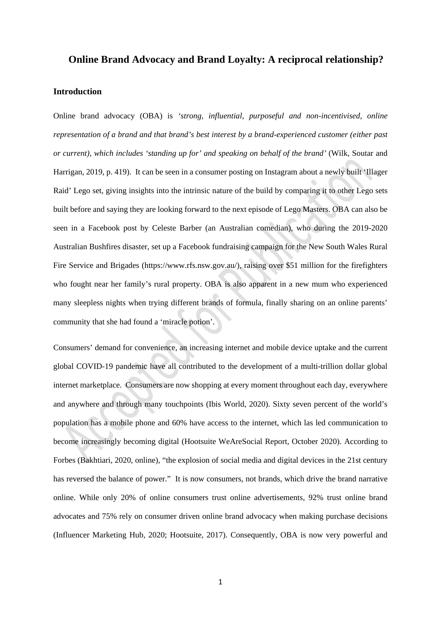# **Online Brand Advocacy and Brand Loyalty: A reciprocal relationship?**

# **Introduction**

Online brand advocacy (OBA) is *'strong, influential, purposeful and non-incentivised, online representation of a brand and that brand's best interest by a brand-experienced customer (either past or current), which includes 'standing up for' and speaking on behalf of the brand'* (Wilk, Soutar and Harrigan, 2019, p. 419). It can be seen in a consumer posting on Instagram about a newly built 'Illager Raid' Lego set, giving insights into the intrinsic nature of the build by comparing it to other Lego sets built before and saying they are looking forward to the next episode of Lego Masters. OBA can also be seen in a Facebook post by Celeste Barber (an Australian comedian), who during the 2019-2020 Australian Bushfires disaster, set up a Facebook fundraising campaign for the New South Wales Rural Fire Service and Brigades (https://www.rfs.nsw.gov.au/), raising over \$51 million for the firefighters who fought near her family's rural property. OBA is also apparent in a new mum who experienced many sleepless nights when trying different brands of formula, finally sharing on an online parents' community that she had found a 'miracle potion'.

Consumers' demand for convenience, an increasing internet and mobile device uptake and the current global COVID-19 pandemic have all contributed to the development of a multi-trillion dollar global internet marketplace. Consumers are now shopping at every moment throughout each day, everywhere and anywhere and through many touchpoints (Ibis World, 2020). Sixty seven percent of the world's population has a mobile phone and 60% have access to the internet, which las led communication to become increasingly becoming digital (Hootsuite WeAreSocial Report, October 2020). According to Forbes (Bakhtiari, 2020, online), "the explosion of social media and digital devices in the 21st century has reversed the balance of power." It is now consumers, not brands, which drive the brand narrative online. While only 20% of online consumers trust online advertisements, 92% trust online brand advocates and 75% rely on consumer driven online brand advocacy when making purchase decisions (Influencer Marketing Hub, 2020; Hootsuite, 2017). Consequently, OBA is now very powerful and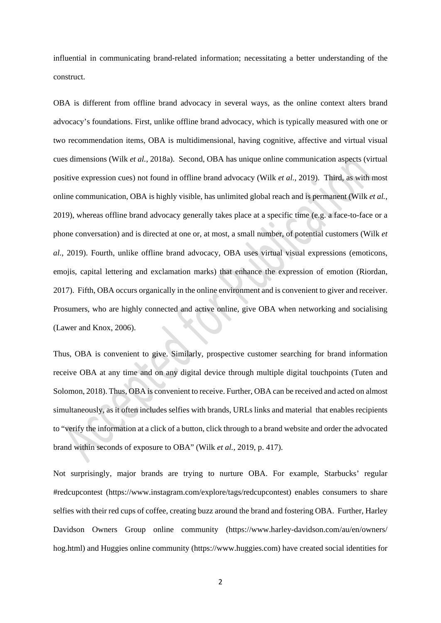influential in communicating brand-related information; necessitating a better understanding of the construct.

OBA is different from offline brand advocacy in several ways, as the online context alters brand advocacy's foundations. First, unlike offline brand advocacy, which is typically measured with one or two recommendation items, OBA is multidimensional, having cognitive, affective and virtual visual cues dimensions (Wilk *et al.*, 2018a). Second, OBA has unique online communication aspects (virtual positive expression cues) not found in offline brand advocacy (Wilk *et al.*, 2019). Third, as with most online communication, OBA is highly visible, has unlimited global reach and is permanent (Wilk *et al.*, 2019), whereas offline brand advocacy generally takes place at a specific time (e.g. a face-to-face or a phone conversation) and is directed at one or, at most, a small number, of potential customers (Wilk *et al.*, 2019). Fourth, unlike offline brand advocacy, OBA uses virtual visual expressions (emoticons, emojis, capital lettering and exclamation marks) that enhance the expression of emotion (Riordan, 2017). Fifth, OBA occurs organically in the online environment and is convenient to giver and receiver. Prosumers, who are highly connected and active online, give OBA when networking and socialising (Lawer and Knox, 2006).

Thus, OBA is convenient to give. Similarly, prospective customer searching for brand information receive OBA at any time and on any digital device through multiple digital touchpoints (Tuten and Solomon, 2018). Thus, OBA is convenient to receive. Further, OBA can be received and acted on almost simultaneously, as it often includes selfies with brands, URLs links and material that enables recipients to "verify the information at a click of a button, click through to a brand website and order the advocated brand within seconds of exposure to OBA" (Wilk *et al.*, 2019, p. 417).

Not surprisingly, major brands are trying to nurture OBA. For example, Starbucks' regular #redcupcontest [\(https://www.instagram.com/explore/tags/redcupcontest\)](https://www.instagram.com/explore/tags/redcupcontest) enables consumers to share selfies with their red cups of coffee, creating buzz around the brand and fostering OBA. Further, Harley Davidson Owners Group online community [\(https://www.harley-davidson.com/au/en/owners/](https://www.harley-davidson.com/au/en/owners/%20hog.html)  [hog.html\)](https://www.harley-davidson.com/au/en/owners/%20hog.html) and Huggies online community [\(https://www.huggies.com\)](https://www.huggies.com/) have created social identities for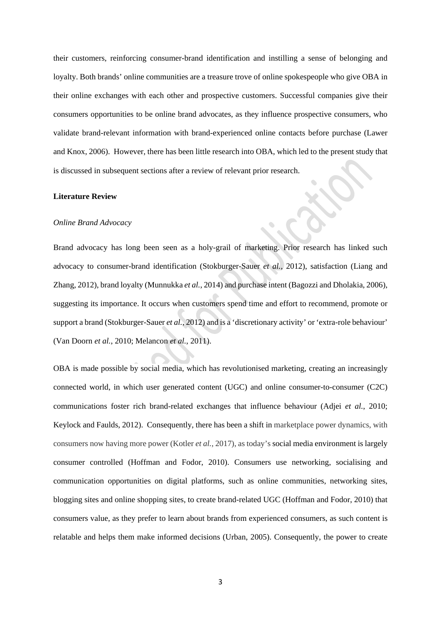their customers, reinforcing consumer-brand identification and instilling a sense of belonging and loyalty. Both brands' online communities are a treasure trove of online spokespeople who give OBA in their online exchanges with each other and prospective customers. Successful companies give their consumers opportunities to be online brand advocates, as they influence prospective consumers, who validate brand-relevant information with brand-experienced online contacts before purchase (Lawer and Knox, 2006). However, there has been little research into OBA, which led to the present study that is discussed in subsequent sections after a review of relevant prior research.

#### **Literature Review**

# *Online Brand Advocacy*

Brand advocacy has long been seen as a holy-grail of marketing. Prior research has linked such advocacy to consumer-brand identification (Stokburger-Sauer *et al.*, 2012), satisfaction (Liang and Zhang, 2012), brand loyalty (Munnukka *et al.*, 2014) and purchase intent (Bagozzi and Dholakia, 2006), suggesting its importance. It occurs when customers spend time and effort to recommend, promote or support a brand (Stokburger-Sauer *et al.*, 2012) and is a 'discretionary activity' or 'extra-role behaviour' (Van Doorn *et al.*, 2010; Melancon *et al.*, 2011).

OBA is made possible by social media, which has revolutionised marketing, creating an increasingly connected world, in which user generated content (UGC) and online consumer-to-consumer (C2C) communications foster rich brand-related exchanges that influence behaviour (Adjei *et al.*, 2010; Keylock and Faulds, 2012). Consequently, there has been a shift in marketplace power dynamics, with consumers now having more power (Kotler *et al.*, 2017), as today's social media environment is largely consumer controlled (Hoffman and Fodor, 2010). Consumers use networking, socialising and communication opportunities on digital platforms, such as online communities, networking sites, blogging sites and online shopping sites, to create brand-related UGC (Hoffman and Fodor, 2010) that consumers value, as they prefer to learn about brands from experienced consumers, as such content is relatable and helps them make informed decisions (Urban, 2005). Consequently, the power to create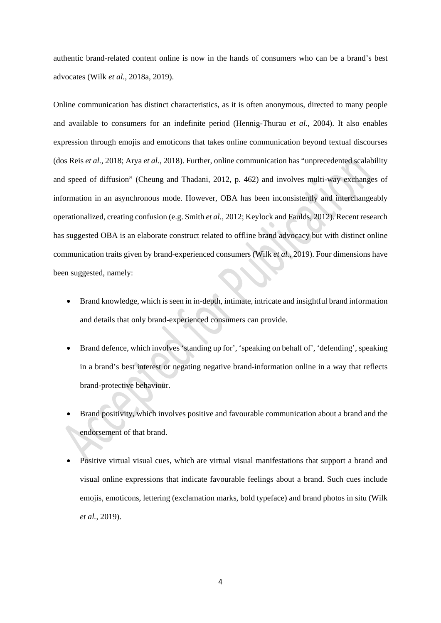authentic brand-related content online is now in the hands of consumers who can be a brand's best advocates (Wilk *et al.*, 2018a, 2019).

Online communication has distinct characteristics, as it is often anonymous, directed to many people and available to consumers for an indefinite period (Hennig-Thurau *et al.,* 2004). It also enables expression through emojis and emoticons that takes online communication beyond textual discourses (dos Reis *et al.*, 2018; Arya *et al.*, 2018). Further, online communication has "unprecedented scalability and speed of diffusion" (Cheung and Thadani, 2012, p. 462) and involves multi-way exchanges of information in an asynchronous mode. However, OBA has been inconsistently and interchangeably operationalized, creating confusion (e.g. Smith *et al.*, 2012; Keylock and Faulds, 2012). Recent research has suggested OBA is an elaborate construct related to offline brand advocacy but with distinct online communication traits given by brand-experienced consumers (Wilk *et al.*, 2019). Four dimensions have been suggested, namely:

- Brand knowledge, which is seen in in-depth, intimate, intricate and insightful brand information and details that only brand-experienced consumers can provide.
- Brand defence, which involves 'standing up for', 'speaking on behalf of', 'defending', speaking in a brand's best interest or negating negative brand-information online in a way that reflects brand-protective behaviour.
- Brand positivity, which involves positive and favourable communication about a brand and the endorsement of that brand.
- Positive virtual visual cues, which are virtual visual manifestations that support a brand and visual online expressions that indicate favourable feelings about a brand. Such cues include emojis, emoticons, lettering (exclamation marks, bold typeface) and brand photos in situ (Wilk *et al.*, 2019).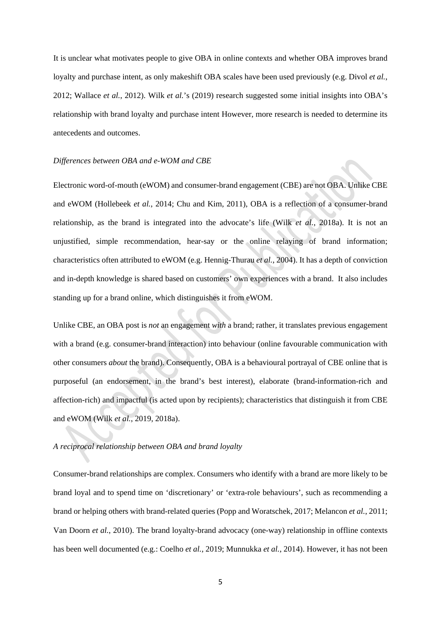It is unclear what motivates people to give OBA in online contexts and whether OBA improves brand loyalty and purchase intent, as only makeshift OBA scales have been used previously (e.g. Divol *et al.*, 2012; Wallace *et al.*, 2012). Wilk *et al.*'s (2019) research suggested some initial insights into OBA's relationship with brand loyalty and purchase intent However, more research is needed to determine its antecedents and outcomes.

#### *Differences between OBA and e-WOM and CBE*

Electronic word-of-mouth (eWOM) and consumer-brand engagement (CBE) are not OBA. Unlike CBE and eWOM (Hollebeek *et al.*, 2014; Chu and Kim, 2011), OBA is a reflection of a consumer-brand relationship, as the brand is integrated into the advocate's life (Wilk *et al.*, 2018a). It is not an unjustified, simple recommendation, hear-say or the online relaying of brand information; characteristics often attributed to eWOM (e.g. Hennig-Thurau *et al.*, 2004). It has a depth of conviction and in-depth knowledge is shared based on customers' own experiences with a brand. It also includes standing up for a brand online, which distinguishes it from eWOM.

Unlike CBE, an OBA post is *not* an engagement *with* a brand; rather, it translates previous engagement with a brand (e.g. consumer-brand interaction) into behaviour (online favourable communication with other consumers *about* the brand). Consequently, OBA is a behavioural portrayal of CBE online that is purposeful (an endorsement, in the brand's best interest), elaborate (brand-information-rich and affection-rich) and impactful (is acted upon by recipients); characteristics that distinguish it from CBE and eWOM (Wilk *et al.*, 2019, 2018a).

## *A reciprocal relationship between OBA and brand loyalty*

Consumer-brand relationships are complex. Consumers who identify with a brand are more likely to be brand loyal and to spend time on 'discretionary' or 'extra-role behaviours', such as recommending a brand or helping others with brand-related queries (Popp and Woratschek, 2017; Melancon *et al.*, 2011; Van Doorn *et al.*, 2010). The brand loyalty-brand advocacy (one-way) relationship in offline contexts has been well documented (e.g.: Coelho *et al.*, 2019; Munnukka *et al.*, 2014). However, it has not been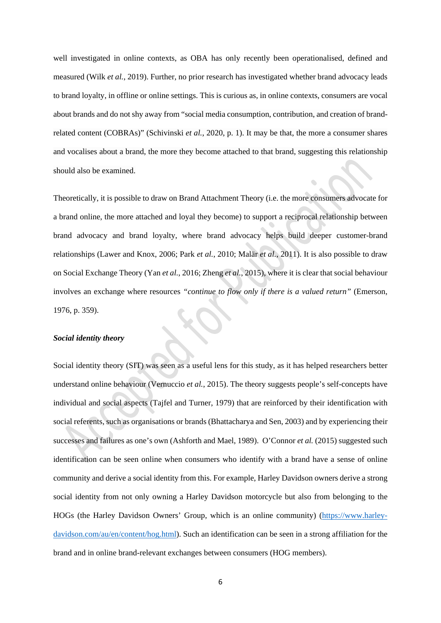well investigated in online contexts, as OBA has only recently been operationalised, defined and measured (Wilk *et al.*, 2019). Further, no prior research has investigated whether brand advocacy leads to brand loyalty, in offline or online settings. This is curious as, in online contexts, consumers are vocal about brands and do not shy away from "social media consumption, contribution, and creation of brandrelated content (COBRAs)" (Schivinski *et al.*, 2020, p. 1). It may be that, the more a consumer shares and vocalises about a brand, the more they become attached to that brand, suggesting this relationship should also be examined.

Theoretically, it is possible to draw on Brand Attachment Theory (i.e. the more consumers advocate for a brand online, the more attached and loyal they become) to support a reciprocal relationship between brand advocacy and brand loyalty, where brand advocacy helps build deeper customer-brand relationships (Lawer and Knox, 2006; Park *et al.*, 2010; Malär *et al.*, 2011). It is also possible to draw on Social Exchange Theory (Yan *et al.*, 2016; Zheng *et al.*, 2015), where it is clear that social behaviour involves an exchange where resources *"continue to flow only if there is a valued return"* (Emerson, 1976, p. 359).

#### *Social identity theory*

Social identity theory (SIT) was seen as a useful lens for this study, as it has helped researchers better understand online behaviour (Vernuccio *et al.*, 2015). The theory suggests people's self-concepts have individual and social aspects (Tajfel and Turner, 1979) that are reinforced by their identification with social referents, such as organisations or brands (Bhattacharya and Sen, 2003) and by experiencing their successes and failures as one's own (Ashforth and Mael, 1989). O'Connor *et al.* (2015) suggested such identification can be seen online when consumers who identify with a brand have a sense of online community and derive a social identity from this. For example, Harley Davidson owners derive a strong social identity from not only owning a Harley Davidson motorcycle but also from belonging to the HOGs (the Harley Davidson Owners' Group, which is an online community) [\(https://www.harley](https://www.harley-davidson.com/au/en/content/hog.html)[davidson.com/au/en/content/hog.html\)](https://www.harley-davidson.com/au/en/content/hog.html). Such an identification can be seen in a strong affiliation for the brand and in online brand-relevant exchanges between consumers (HOG members).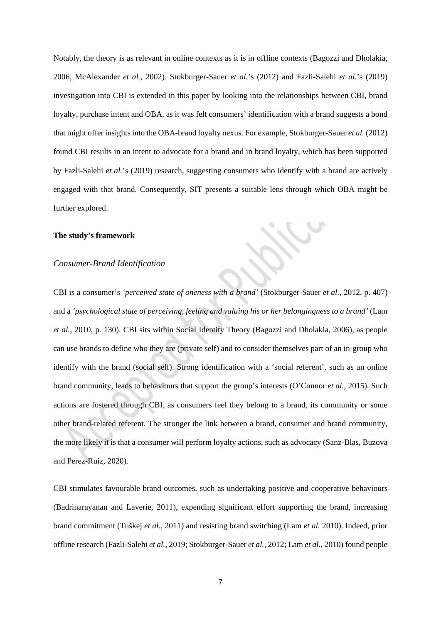Notably, the theory is as relevant in online contexts as it is in offline contexts (Bagozzi and Dholakia, 2006; McAlexander *et al.*, 2002). Stokburger-Sauer *et al.*'s (2012) and Fazli-Salehi *et al.*'s (2019) investigation into CBI is extended in this paper by looking into the relationships between CBI, brand loyalty, purchase intent and OBA, as it was felt consumers' identification with a brand suggests a bond that might offer insights into the OBA-brand loyalty nexus. For example, Stokburger-Sauer *et al.* (2012) found CBI results in an intent to advocate for a brand and in brand loyalty, which has been supported by Fazli-Salehi *et al.*'s (2019) research, suggesting consumers who identify with a brand are actively engaged with that brand. Consequently, SIT presents a suitable lens through which OBA might be further explored.

#### **The study's framework**

# *Consumer-Brand Identification*

CBI is a consumer's *'perceived state of oneness with a brand'* (Stokburger-Sauer *et al.*, 2012, p. 407) and a *'psychological state of perceiving, feeling and valuing his or her belongingness to a brand'* (Lam *et al.*, 2010, p. 130). CBI sits within Social Identity Theory (Bagozzi and Dholakia, 2006), as people can use brands to define who they are (private self) and to consider themselves part of an in-group who identify with the brand (social self). Strong identification with a 'social referent', such as an online brand community, leads to behaviours that support the group's interests (O'Connor *et al.*, 2015). Such actions are fostered through CBI, as consumers feel they belong to a brand, its community or some other brand-related referent. The stronger the link between a brand, consumer and brand community, the more likely it is that a consumer will perform loyalty actions, such as advocacy (Sanz-Blas, Buzova and Perez-Ruiz, 2020).

CBI stimulates favourable brand outcomes, such as undertaking positive and cooperative behaviours (Badrinarayanan and Laverie, 2011), expending significant effort supporting the brand, increasing brand commitment (Tuškej *et al.*, 2011) and resisting brand switching (Lam *et al.* 2010). Indeed, prior offline research (Fazli-Salehi *et al.*, 2019; Stokburger-Sauer *et al.*, 2012; Lam *et al.*, 2010) found people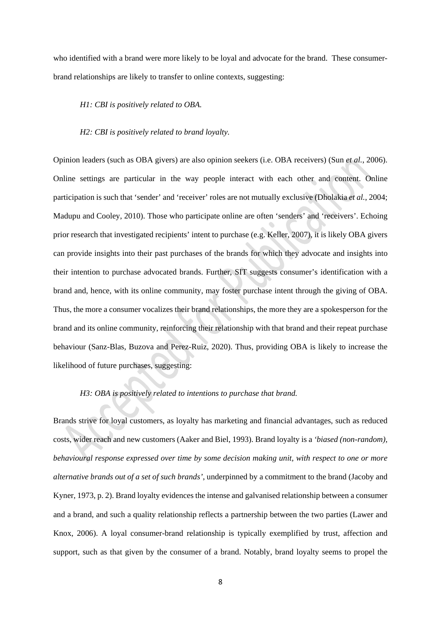who identified with a brand were more likely to be loyal and advocate for the brand. These consumerbrand relationships are likely to transfer to online contexts, suggesting:

#### *H1: CBI is positively related to OBA.*

#### *H2: CBI is positively related to brand loyalty.*

Opinion leaders (such as OBA givers) are also opinion seekers (i.e. OBA receivers) (Sun *et al.*, 2006). Online settings are particular in the way people interact with each other and content. Online participation is such that 'sender' and 'receiver' roles are not mutually exclusive (Dholakia *et al.*, 2004; Madupu and Cooley, 2010). Those who participate online are often 'senders' and 'receivers'. Echoing prior research that investigated recipients' intent to purchase (e.g. Keller, 2007), it is likely OBA givers can provide insights into their past purchases of the brands for which they advocate and insights into their intention to purchase advocated brands. Further, SIT suggests consumer's identification with a brand and, hence, with its online community, may foster purchase intent through the giving of OBA. Thus, the more a consumer vocalizes their brand relationships, the more they are a spokesperson for the brand and its online community, reinforcing their relationship with that brand and their repeat purchase behaviour (Sanz-Blas, Buzova and Perez-Ruiz, 2020). Thus, providing OBA is likely to increase the likelihood of future purchases, suggesting:

# *H3: OBA is positively related to intentions to purchase that brand.*

Brands strive for loyal customers, as loyalty has marketing and financial advantages, such as reduced costs, wider reach and new customers (Aaker and Biel, 1993). Brand loyalty is a *'biased (non-random), behavioural response expressed over time by some decision making unit, with respect to one or more alternative brands out of a set of such brands'*, underpinned by a commitment to the brand (Jacoby and Kyner, 1973, p. 2). Brand loyalty evidences the intense and galvanised relationship between a consumer and a brand, and such a quality relationship reflects a partnership between the two parties (Lawer and Knox, 2006). A loyal consumer-brand relationship is typically exemplified by trust, affection and support, such as that given by the consumer of a brand. Notably, brand loyalty seems to propel the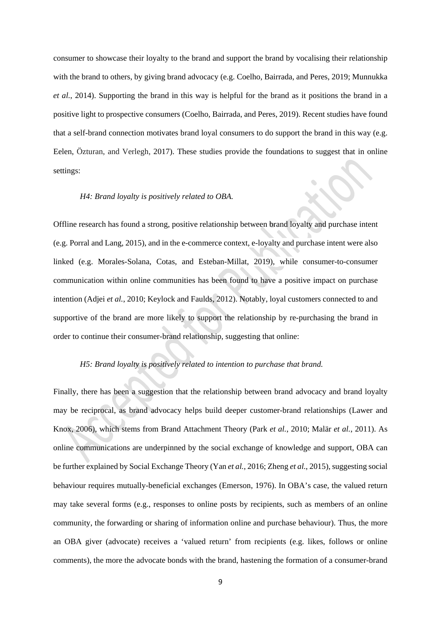consumer to showcase their loyalty to the brand and support the brand by vocalising their relationship with the brand to others, by giving brand advocacy (e.g. Coelho, Bairrada, and Peres, 2019; Munnukka *et al.*, 2014). Supporting the brand in this way is helpful for the brand as it positions the brand in a positive light to prospective consumers (Coelho, Bairrada, and Peres, 2019). Recent studies have found that a self-brand connection motivates brand loyal consumers to do support the brand in this way (e.g. Eelen, Özturan, and Verlegh, 2017). These studies provide the foundations to suggest that in online settings:

#### *H4: Brand loyalty is positively related to OBA.*

Offline research has found a strong, positive relationship between brand loyalty and purchase intent (e.g. Porral and Lang, 2015), and in the e-commerce context, e-loyalty and purchase intent were also linked (e.g. Morales-Solana, Cotas, and Esteban-Millat, 2019), while consumer-to-consumer communication within online communities has been found to have a positive impact on purchase intention (Adjei *et al.*, 2010; Keylock and Faulds, 2012). Notably, loyal customers connected to and supportive of the brand are more likely to support the relationship by re-purchasing the brand in order to continue their consumer-brand relationship, suggesting that online:

# *H5: Brand loyalty is positively related to intention to purchase that brand.*

Finally, there has been a suggestion that the relationship between brand advocacy and brand loyalty may be reciprocal, as brand advocacy helps build deeper customer-brand relationships (Lawer and Knox, 2006), which stems from Brand Attachment Theory (Park *et al.*, 2010; Malär *et al.*, 2011). As online communications are underpinned by the social exchange of knowledge and support, OBA can be further explained by Social Exchange Theory (Yan *et al.*, 2016; Zheng *et al.*, 2015), suggesting social behaviour requires mutually-beneficial exchanges (Emerson, 1976). In OBA's case, the valued return may take several forms (e.g., responses to online posts by recipients, such as members of an online community, the forwarding or sharing of information online and purchase behaviour). Thus, the more an OBA giver (advocate) receives a 'valued return' from recipients (e.g. likes, follows or online comments), the more the advocate bonds with the brand, hastening the formation of a consumer-brand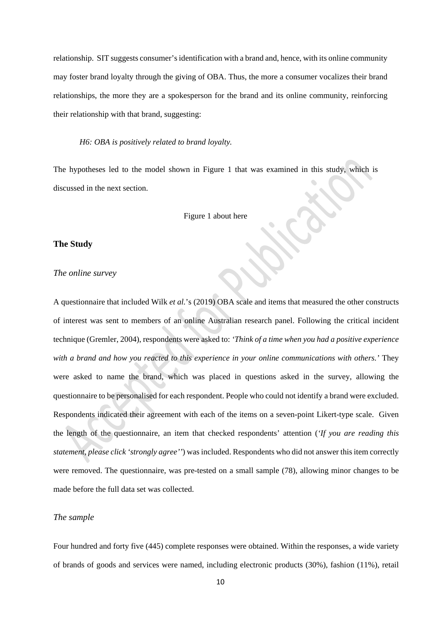relationship. SIT suggests consumer's identification with a brand and, hence, with its online community may foster brand loyalty through the giving of OBA. Thus, the more a consumer vocalizes their brand relationships, the more they are a spokesperson for the brand and its online community, reinforcing their relationship with that brand, suggesting:

*H6: OBA is positively related to brand loyalty.*

The hypotheses led to the model shown in Figure 1 that was examined in this study, which is discussed in the next section.

Figure 1 about here

# **The Study**

#### *The online survey*

A questionnaire that included Wilk *et al.*'s (2019) OBA scale and items that measured the other constructs of interest was sent to members of an online Australian research panel. Following the critical incident technique (Gremler, 2004), respondents were asked to: *'Think of a time when you had a positive experience with a brand and how you reacted to this experience in your online communications with others.'* They were asked to name the brand, which was placed in questions asked in the survey, allowing the questionnaire to be personalised for each respondent. People who could not identify a brand were excluded. Respondents indicated their agreement with each of the items on a seven-point Likert-type scale. Given the length of the questionnaire, an item that checked respondents' attention (*'If you are reading this statement, please click 'strongly agree''*) was included. Respondents who did not answer this item correctly were removed. The questionnaire, was pre-tested on a small sample (78), allowing minor changes to be made before the full data set was collected.

# *The sample*

Four hundred and forty five (445) complete responses were obtained. Within the responses, a wide variety of brands of goods and services were named, including electronic products (30%), fashion (11%), retail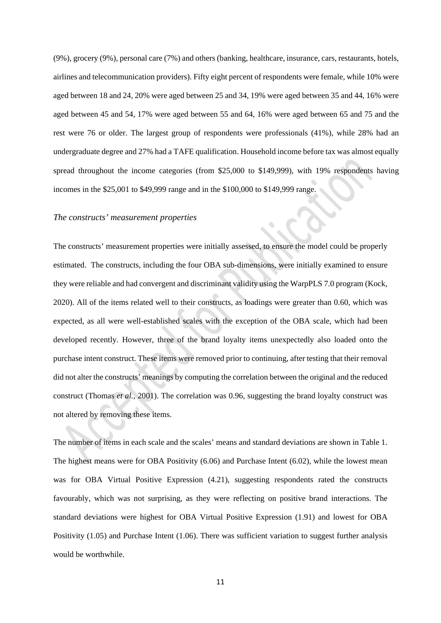(9%), grocery (9%), personal care (7%) and others (banking, healthcare, insurance, cars, restaurants, hotels, airlines and telecommunication providers). Fifty eight percent of respondents were female, while 10% were aged between 18 and 24, 20% were aged between 25 and 34, 19% were aged between 35 and 44, 16% were aged between 45 and 54, 17% were aged between 55 and 64, 16% were aged between 65 and 75 and the rest were 76 or older. The largest group of respondents were professionals (41%), while 28% had an undergraduate degree and 27% had a TAFE qualification. Household income before tax was almost equally spread throughout the income categories (from \$25,000 to \$149,999), with 19% respondents having incomes in the \$25,001 to \$49,999 range and in the \$100,000 to \$149,999 range.

#### *The constructs' measurement properties*

The constructs' measurement properties were initially assessed, to ensure the model could be properly estimated. The constructs, including the four OBA sub-dimensions, were initially examined to ensure they were reliable and had convergent and discriminant validity using the WarpPLS 7.0 program (Kock, 2020). All of the items related well to their constructs, as loadings were greater than 0.60, which was expected, as all were well-established scales with the exception of the OBA scale, which had been developed recently. However, three of the brand loyalty items unexpectedly also loaded onto the purchase intent construct. These items were removed prior to continuing, after testing that their removal did not alter the constructs' meanings by computing the correlation between the original and the reduced construct (Thomas *et al.*, 2001). The correlation was 0.96, suggesting the brand loyalty construct was not altered by removing these items.

The number of items in each scale and the scales' means and standard deviations are shown in Table 1. The highest means were for OBA Positivity (6.06) and Purchase Intent (6.02), while the lowest mean was for OBA Virtual Positive Expression (4.21), suggesting respondents rated the constructs favourably, which was not surprising, as they were reflecting on positive brand interactions. The standard deviations were highest for OBA Virtual Positive Expression (1.91) and lowest for OBA Positivity (1.05) and Purchase Intent (1.06). There was sufficient variation to suggest further analysis would be worthwhile.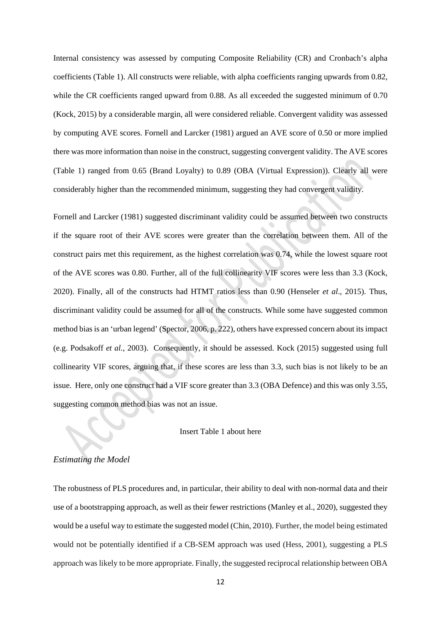Internal consistency was assessed by computing Composite Reliability (CR) and Cronbach's alpha coefficients (Table 1). All constructs were reliable, with alpha coefficients ranging upwards from 0.82, while the CR coefficients ranged upward from 0.88. As all exceeded the suggested minimum of 0.70 (Kock, 2015) by a considerable margin, all were considered reliable. Convergent validity was assessed by computing AVE scores. Fornell and Larcker (1981) argued an AVE score of 0.50 or more implied there was more information than noise in the construct, suggesting convergent validity. The AVE scores (Table 1) ranged from 0.65 (Brand Loyalty) to 0.89 (OBA (Virtual Expression)). Clearly all were considerably higher than the recommended minimum, suggesting they had convergent validity.

Fornell and Larcker (1981) suggested discriminant validity could be assumed between two constructs if the square root of their AVE scores were greater than the correlation between them. All of the construct pairs met this requirement, as the highest correlation was 0.74, while the lowest square root of the AVE scores was 0.80. Further, all of the full collinearity VIF scores were less than 3.3 (Kock, 2020). Finally, all of the constructs had HTMT ratios less than 0.90 (Henseler *et al*., 2015). Thus, discriminant validity could be assumed for all of the constructs. While some have suggested common method bias is an 'urban legend' (Spector, 2006, p. 222), others have expressed concern about its impact (e.g. Podsakoff *et al.*, 2003). Consequently, it should be assessed. Kock (2015) suggested using full collinearity VIF scores, arguing that, if these scores are less than 3.3, such bias is not likely to be an issue. Here, only one construct had a VIF score greater than 3.3 (OBA Defence) and this was only 3.55, suggesting common method bias was not an issue.

#### Insert Table 1 about here

# *Estimating the Model*

The robustness of PLS procedures and, in particular, their ability to deal with non-normal data and their use of a bootstrapping approach, as well as their fewer restrictions (Manley et al., 2020), suggested they would be a useful way to estimate the suggested model (Chin, 2010). Further, the model being estimated would not be potentially identified if a CB-SEM approach was used (Hess, 2001), suggesting a PLS approach was likely to be more appropriate. Finally, the suggested reciprocal relationship between OBA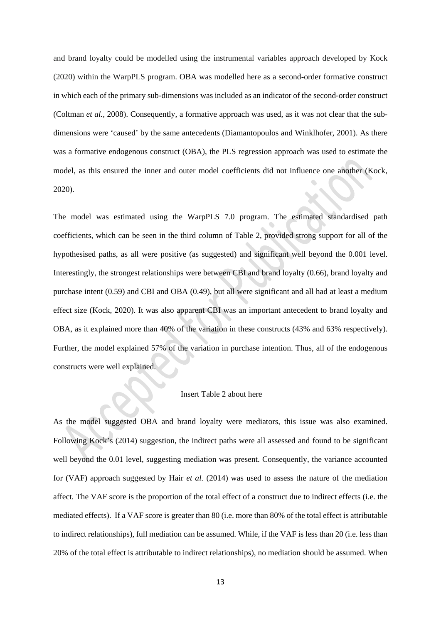and brand loyalty could be modelled using the instrumental variables approach developed by Kock (2020) within the WarpPLS program. OBA was modelled here as a second-order formative construct in which each of the primary sub-dimensions was included as an indicator of the second-order construct (Coltman *et al.*, 2008). Consequently, a formative approach was used, as it was not clear that the subdimensions were 'caused' by the same antecedents (Diamantopoulos and Winklhofer, 2001). As there was a formative endogenous construct (OBA), the PLS regression approach was used to estimate the model, as this ensured the inner and outer model coefficients did not influence one another (Kock, 2020).

The model was estimated using the WarpPLS 7.0 program. The estimated standardised path coefficients, which can be seen in the third column of Table 2, provided strong support for all of the hypothesised paths, as all were positive (as suggested) and significant well beyond the 0.001 level. Interestingly, the strongest relationships were between CBI and brand loyalty (0.66), brand loyalty and purchase intent (0.59) and CBI and OBA (0.49), but all were significant and all had at least a medium effect size (Kock, 2020). It was also apparent CBI was an important antecedent to brand loyalty and OBA, as it explained more than 40% of the variation in these constructs (43% and 63% respectively). Further, the model explained 57% of the variation in purchase intention. Thus, all of the endogenous constructs were well explained.

#### Insert Table 2 about here

As the model suggested OBA and brand loyalty were mediators, this issue was also examined. Following Kock's (2014) suggestion, the indirect paths were all assessed and found to be significant well beyond the 0.01 level, suggesting mediation was present. Consequently, the variance accounted for (VAF) approach suggested by Hair *et al.* (2014) was used to assess the nature of the mediation affect. The VAF score is the proportion of the total effect of a construct due to indirect effects (i.e. the mediated effects). If a VAF score is greater than 80 (i.e. more than 80% of the total effect is attributable to indirect relationships), full mediation can be assumed. While, if the VAF is less than 20 (i.e. less than 20% of the total effect is attributable to indirect relationships), no mediation should be assumed. When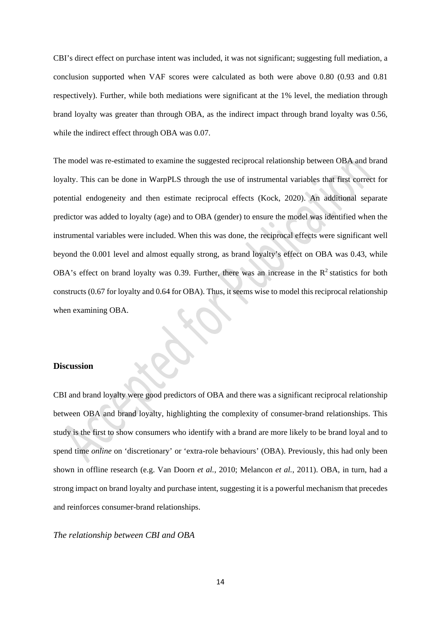CBI's direct effect on purchase intent was included, it was not significant; suggesting full mediation, a conclusion supported when VAF scores were calculated as both were above 0.80 (0.93 and 0.81 respectively). Further, while both mediations were significant at the 1% level, the mediation through brand loyalty was greater than through OBA, as the indirect impact through brand loyalty was 0.56, while the indirect effect through OBA was 0.07.

The model was re-estimated to examine the suggested reciprocal relationship between OBA and brand loyalty. This can be done in WarpPLS through the use of instrumental variables that first correct for potential endogeneity and then estimate reciprocal effects (Kock, 2020). An additional separate predictor was added to loyalty (age) and to OBA (gender) to ensure the model was identified when the instrumental variables were included. When this was done, the reciprocal effects were significant well beyond the 0.001 level and almost equally strong, as brand loyalty's effect on OBA was 0.43, while OBA's effect on brand loyalty was 0.39. Further, there was an increase in the  $R^2$  statistics for both constructs (0.67 for loyalty and 0.64 for OBA). Thus, it seems wise to model this reciprocal relationship when examining OBA.

# **Discussion**

CBI and brand loyalty were good predictors of OBA and there was a significant reciprocal relationship between OBA and brand loyalty, highlighting the complexity of consumer-brand relationships. This study is the first to show consumers who identify with a brand are more likely to be brand loyal and to spend time *online* on 'discretionary' or 'extra-role behaviours' (OBA). Previously, this had only been shown in offline research (e.g. Van Doorn *et al.*, 2010; Melancon *et al.*, 2011). OBA, in turn, had a strong impact on brand loyalty and purchase intent, suggesting it is a powerful mechanism that precedes and reinforces consumer-brand relationships.

# *The relationship between CBI and OBA*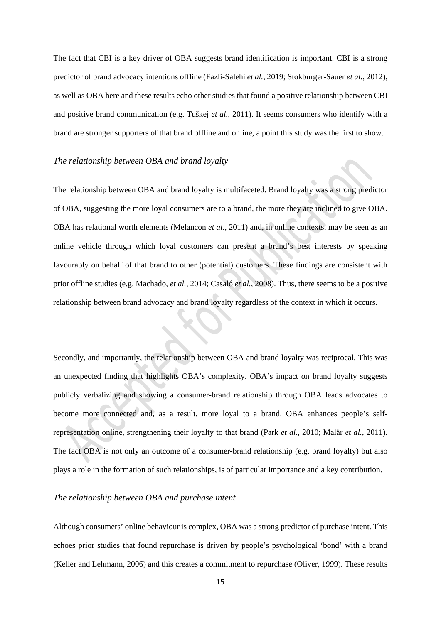The fact that CBI is a key driver of OBA suggests brand identification is important. CBI is a strong predictor of brand advocacy intentions offline (Fazli-Salehi *et al.*, 2019; Stokburger-Sauer *et al.*, 2012), as well as OBA here and these results echo other studies that found a positive relationship between CBI and positive brand communication (e.g. Tuškej *et al.*, 2011). It seems consumers who identify with a brand are stronger supporters of that brand offline and online, a point this study was the first to show.

#### *The relationship between OBA and brand loyalty*

The relationship between OBA and brand loyalty is multifaceted. Brand loyalty was a strong predictor of OBA, suggesting the more loyal consumers are to a brand, the more they are inclined to give OBA. OBA has relational worth elements (Melancon *et al.*, 2011) and, in online contexts, may be seen as an online vehicle through which loyal customers can present a brand's best interests by speaking favourably on behalf of that brand to other (potential) customers. These findings are consistent with prior offline studies (e.g. Machado, *et al.*, 2014; Casaló *et al.*, 2008). Thus, there seems to be a positive relationship between brand advocacy and brand loyalty regardless of the context in which it occurs.

Secondly, and importantly, the relationship between OBA and brand loyalty was reciprocal. This was an unexpected finding that highlights OBA's complexity. OBA's impact on brand loyalty suggests publicly verbalizing and showing a consumer-brand relationship through OBA leads advocates to become more connected and, as a result, more loyal to a brand. OBA enhances people's selfrepresentation online, strengthening their loyalty to that brand (Park *et al.*, 2010; Malär *et al.*, 2011). The fact OBA is not only an outcome of a consumer-brand relationship (e.g. brand loyalty) but also plays a role in the formation of such relationships, is of particular importance and a key contribution.

# *The relationship between OBA and purchase intent*

Although consumers' online behaviour is complex, OBA was a strong predictor of purchase intent. This echoes prior studies that found repurchase is driven by people's psychological 'bond' with a brand (Keller and Lehmann, 2006) and this creates a commitment to repurchase (Oliver, 1999). These results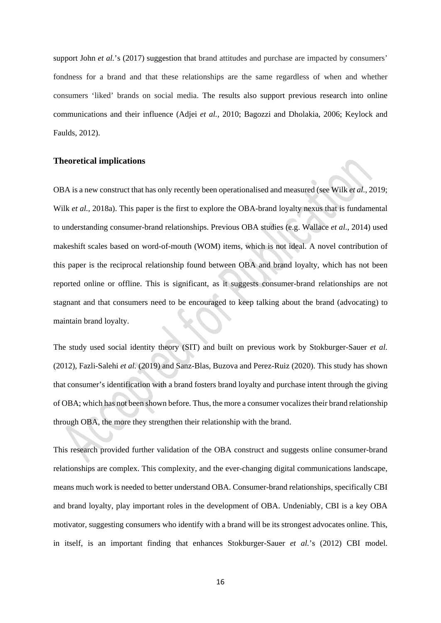support John *et al.*'s (2017) suggestion that brand attitudes and purchase are impacted by consumers' fondness for a brand and that these relationships are the same regardless of when and whether consumers 'liked' brands on social media. The results also support previous research into online communications and their influence (Adjei *et al.*, 2010; Bagozzi and Dholakia, 2006; Keylock and Faulds, 2012).

# **Theoretical implications**

OBA is a new construct that has only recently been operationalised and measured (see Wilk *et al.*, 2019; Wilk *et al.*, 2018a). This paper is the first to explore the OBA-brand loyalty nexus that is fundamental to understanding consumer-brand relationships. Previous OBA studies (e.g. Wallace *et al.*, 2014) used makeshift scales based on word-of-mouth (WOM) items, which is not ideal. A novel contribution of this paper is the reciprocal relationship found between OBA and brand loyalty, which has not been reported online or offline. This is significant, as it suggests consumer-brand relationships are not stagnant and that consumers need to be encouraged to keep talking about the brand (advocating) to maintain brand loyalty.

The study used social identity theory (SIT) and built on previous work by Stokburger-Sauer *et al.*  (2012), Fazli-Salehi *et al.* (2019) and Sanz-Blas, Buzova and Perez-Ruiz (2020). This study has shown that consumer's identification with a brand fosters brand loyalty and purchase intent through the giving of OBA; which has not been shown before. Thus, the more a consumer vocalizes their brand relationship through OBA, the more they strengthen their relationship with the brand.

This research provided further validation of the OBA construct and suggests online consumer-brand relationships are complex. This complexity, and the ever-changing digital communications landscape, means much work is needed to better understand OBA. Consumer-brand relationships, specifically CBI and brand loyalty, play important roles in the development of OBA. Undeniably, CBI is a key OBA motivator, suggesting consumers who identify with a brand will be its strongest advocates online. This, in itself, is an important finding that enhances Stokburger-Sauer *et al.*'s (2012) CBI model.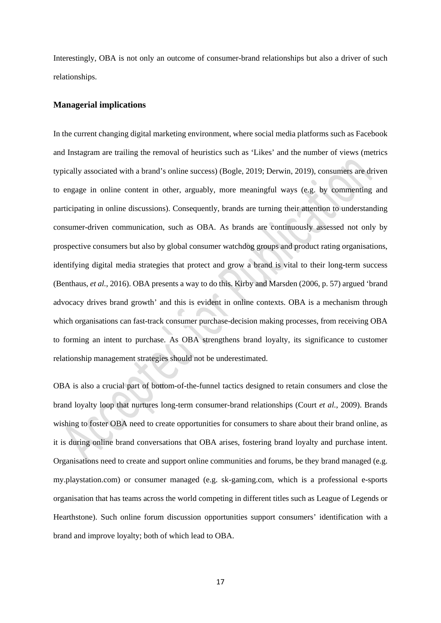Interestingly, OBA is not only an outcome of consumer-brand relationships but also a driver of such relationships.

# **Managerial implications**

In the current changing digital marketing environment, where social media platforms such as Facebook and Instagram are trailing the removal of heuristics such as 'Likes' and the number of views (metrics typically associated with a brand's online success) (Bogle, 2019; Derwin, 2019), consumers are driven to engage in online content in other, arguably, more meaningful ways (e.g. by commenting and participating in online discussions). Consequently, brands are turning their attention to understanding consumer-driven communication, such as OBA. As brands are continuously assessed not only by prospective consumers but also by global consumer watchdog groups and product rating organisations, identifying digital media strategies that protect and grow a brand is vital to their long-term success (Benthaus, *et al.*, 2016). OBA presents a way to do this. Kirby and Marsden (2006, p. 57) argued 'brand advocacy drives brand growth' and this is evident in online contexts. OBA is a mechanism through which organisations can fast-track consumer purchase-decision making processes, from receiving OBA to forming an intent to purchase. As OBA strengthens brand loyalty, its significance to customer relationship management strategies should not be underestimated.

OBA is also a crucial part of bottom-of-the-funnel tactics designed to retain consumers and close the brand loyalty loop that nurtures long-term consumer-brand relationships (Court *et al.*, 2009). Brands wishing to foster OBA need to create opportunities for consumers to share about their brand online, as it is during online brand conversations that OBA arises, fostering brand loyalty and purchase intent. Organisations need to create and support online communities and forums, be they brand managed (e.g. my.playstation.com) or consumer managed (e.g. sk-gaming.com, which is a professional e-sports organisation that has teams across the world competing in different titles such as League of Legends or Hearthstone). Such online forum discussion opportunities support consumers' identification with a brand and improve loyalty; both of which lead to OBA.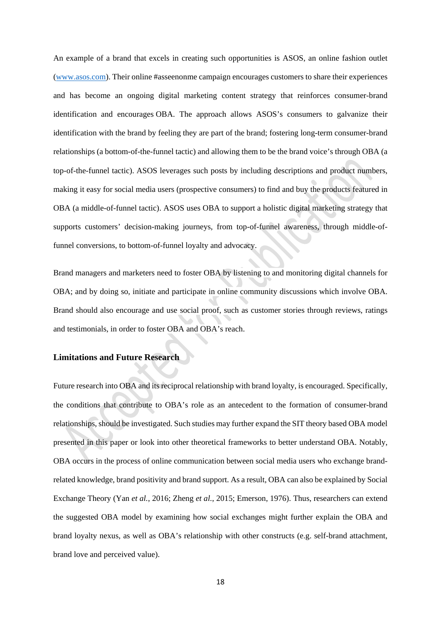An example of a brand that excels in creating such opportunities is ASOS, an online fashion outlet [\(www.asos.com\)](http://www.asos.com/). Their online #asseenonme campaign encourages customers to share their experiences and has become an ongoing digital marketing content strategy that reinforces consumer-brand identification and encourages OBA. The approach allows ASOS's consumers to galvanize their identification with the brand by feeling they are part of the brand; fostering long-term consumer-brand relationships (a bottom-of-the-funnel tactic) and allowing them to be the brand voice's through OBA (a top-of-the-funnel tactic). ASOS leverages such posts by including descriptions and product numbers, making it easy for social media users (prospective consumers) to find and buy the products featured in OBA (a middle-of-funnel tactic). ASOS uses OBA to support a holistic digital marketing strategy that supports customers' decision-making journeys, from top-of-funnel awareness, through middle-offunnel conversions, to bottom-of-funnel loyalty and advocacy.

Brand managers and marketers need to foster OBA by listening to and monitoring digital channels for OBA; and by doing so, initiate and participate in online community discussions which involve OBA. Brand should also encourage and use social proof, such as customer stories through reviews, ratings and testimonials, in order to foster OBA and OBA's reach.

# **Limitations and Future Research**

Future research into OBA and its reciprocal relationship with brand loyalty, is encouraged. Specifically, the conditions that contribute to OBA's role as an antecedent to the formation of consumer-brand relationships, should be investigated. Such studies may further expand the SIT theory based OBA model presented in this paper or look into other theoretical frameworks to better understand OBA. Notably, OBA occurs in the process of online communication between social media users who exchange brandrelated knowledge, brand positivity and brand support. As a result, OBA can also be explained by Social Exchange Theory (Yan *et al.*, 2016; Zheng *et al.*, 2015; Emerson, 1976). Thus, researchers can extend the suggested OBA model by examining how social exchanges might further explain the OBA and brand loyalty nexus, as well as OBA's relationship with other constructs (e.g. self-brand attachment, brand love and perceived value).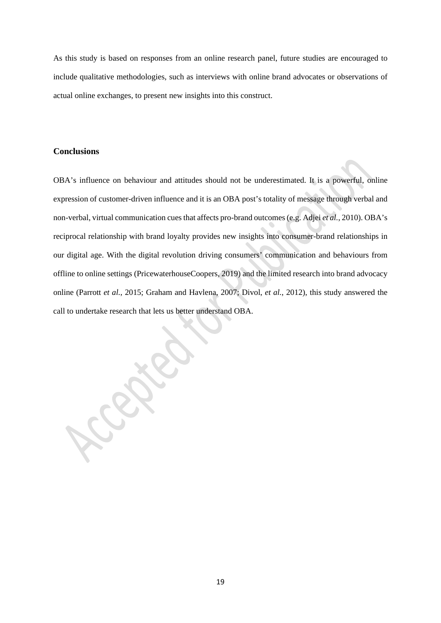As this study is based on responses from an online research panel, future studies are encouraged to include qualitative methodologies, such as interviews with online brand advocates or observations of actual online exchanges, to present new insights into this construct.

# **Conclusions**

OBA's influence on behaviour and attitudes should not be underestimated. It is a powerful, online expression of customer-driven influence and it is an OBA post's totality of message through verbal and non-verbal, virtual communication cues that affects pro-brand outcomes (e.g. Adjei *et al.*, 2010). OBA's reciprocal relationship with brand loyalty provides new insights into consumer-brand relationships in our digital age. With the digital revolution driving consumers' communication and behaviours from offline to online settings (PricewaterhouseCoopers, 2019) and the limited research into brand advocacy online (Parrott *et al.*, 2015; Graham and Havlena, 2007; Divol, *et al.*, 2012), this study answered the call to undertake research that lets us better understand OBA.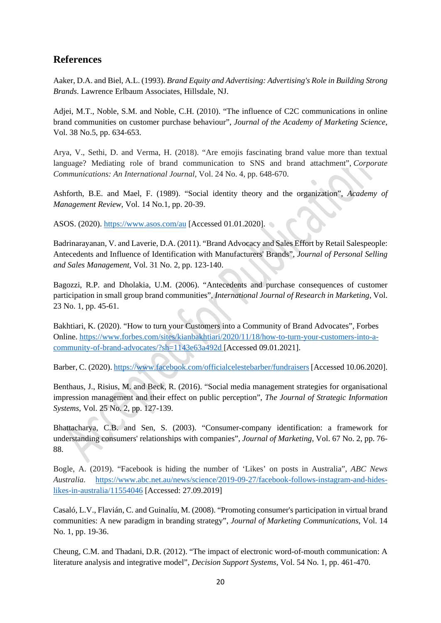# **References**

Aaker, D.A. and Biel, A.L. (1993). *Brand Equity and Advertising: Advertising's Role in Building Strong Brands*. Lawrence Erlbaum Associates, Hillsdale, NJ.

Adjei, M.T., Noble, S.M. and Noble, C.H. (2010). "The influence of C2C communications in online brand communities on customer purchase behaviour", *Journal of the Academy of Marketing Science*, Vol. 38 No.5, pp. 634-653.

Arya, V., Sethi, D. and Verma, H. (2018). "Are emojis fascinating brand value more than textual language? Mediating role of brand communication to SNS and brand attachment", *Corporate Communications: An International Journal,* Vol. 24 No. 4, pp. 648-670.

Ashforth, B.E. and Mael, F. (1989). "Social identity theory and the organization", *Academy of Management Review*, Vol. 14 No.1, pp. 20-39.

ASOS. (2020).<https://www.asos.com/au> [Accessed 01.01.2020].

Badrinarayanan, V. and Laverie, D.A. (2011). "Brand Advocacy and Sales Effort by Retail Salespeople: Antecedents and Influence of Identification with Manufacturers' Brands", *Journal of Personal Selling and Sales Management*, Vol. 31 No. 2, pp. 123-140.

Bagozzi, R.P. and Dholakia, U.M. (2006). "Antecedents and purchase consequences of customer participation in small group brand communities", *International Journal of Research in Marketing*, Vol. 23 No. 1, pp. 45-61.

Bakhtiari, K. (2020). "How to turn your Customers into a Community of Brand Advocates", Forbes Online. [https://www.forbes.com/sites/kianbakhtiari/2020/11/18/how-to-turn-your-customers-into-a](https://www.forbes.com/sites/kianbakhtiari/2020/11/18/how-to-turn-your-customers-into-a-community-of-brand-advocates/?sh=1143e63a492d)[community-of-brand-advocates/?sh=1143e63a492d](https://www.forbes.com/sites/kianbakhtiari/2020/11/18/how-to-turn-your-customers-into-a-community-of-brand-advocates/?sh=1143e63a492d) [Accessed 09.01.2021].

Barber, C. (2020)[. https://www.facebook.com/officialcelestebarber/fundraisers](https://www.facebook.com/officialcelestebarber/fundraisers) [Accessed 10.06.2020].

Benthaus, J., Risius, M. and Beck, R. (2016). "Social media management strategies for organisational impression management and their effect on public perception", *The Journal of Strategic Information Systems*, Vol. 25 No. 2, pp. 127-139.

Bhattacharya, C.B. and Sen, S. (2003). "Consumer-company identification: a framework for understanding consumers' relationships with companies", *Journal of Marketing*, Vol. 67 No. 2, pp. 76- 88.

Bogle, A. (2019). "Facebook is hiding the number of 'Likes' on posts in Australia", *ABC News Australia.* [https://www.abc.net.au/news/science/2019-09-27/facebook-follows-instagram-and-hides](https://www.abc.net.au/news/science/2019-09-27/facebook-follows-instagram-and-hides-likes-in-australia/11554046)[likes-in-australia/11554046](https://www.abc.net.au/news/science/2019-09-27/facebook-follows-instagram-and-hides-likes-in-australia/11554046) [Accessed: 27.09.2019]

Casaló, L.V., Flavián, C. and Guinalíu, M. (2008). "Promoting consumer's participation in virtual brand communities: A new paradigm in branding strategy", *Journal of Marketing Communications*, Vol. 14 No. 1, pp. 19-36.

Cheung, C.M. and Thadani, D.R. (2012). "The impact of electronic word-of-mouth communication: A literature analysis and integrative model", *Decision Support Systems*, Vol. 54 No. 1, pp. 461-470.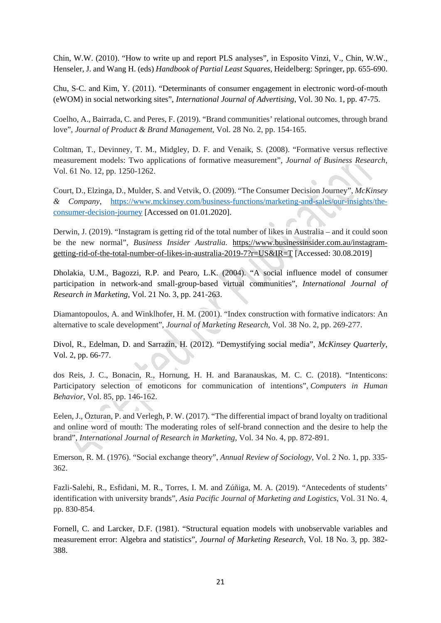Chin, W.W. (2010). "How to write up and report PLS analyses", in Esposito Vinzi, V., Chin, W.W., Henseler, J. and Wang H. (eds) *Handbook of Partial Least Squares*, Heidelberg: Springer, pp. 655-690.

Chu, S-C. and Kim, Y. (2011). "Determinants of consumer engagement in electronic word-of-mouth (eWOM) in social networking sites", *International Journal of Advertising*, Vol. 30 No. 1, pp. 47-75.

Coelho, A., Bairrada, C. and Peres, F. (2019). "Brand communities' relational outcomes, through brand love", *Journal of Product & Brand Management*, Vol. 28 No. 2, pp. 154-165.

Coltman, T., Devinney, T. M., Midgley, D. F. and Venaik, S. (2008). "Formative versus reflective measurement models: Two applications of formative measurement", *Journal of Business Research*, Vol. 61 No. 12, pp. 1250-1262.

Court, D., Elzinga, D., Mulder, S. and Vetvik, O. (2009). "The Consumer Decision Journey", *McKinsey & Company*, [https://www.mckinsey.com/business-functions/marketing-and-sales/our-insights/the](https://www.mckinsey.com/business-functions/marketing-and-sales/our-insights/the-consumer-decision-journey)[consumer-decision-journey](https://www.mckinsey.com/business-functions/marketing-and-sales/our-insights/the-consumer-decision-journey) [Accessed on 01.01.2020].

Derwin, J. (2019). "Instagram is getting rid of the total number of likes in Australia – and it could soon be the new normal", *Business Insider Australia.* [https://www.businessinsider.com.au/instagram](https://www.businessinsider.com.au/instagram-getting-rid-of-the-total-number-of-likes-in-australia-2019-7?r=US&IR=T)[getting-rid-of-the-total-number-of-likes-in-australia-2019-7?r=US&IR=T](https://www.businessinsider.com.au/instagram-getting-rid-of-the-total-number-of-likes-in-australia-2019-7?r=US&IR=T) [Accessed: 30.08.2019]

Dholakia, U.M., Bagozzi, R.P. and Pearo, L.K. (2004). "A social influence model of consumer participation in network-and small-group-based virtual communities", *International Journal of Research in Marketing*, Vol. 21 No. 3, pp. 241-263.

Diamantopoulos, A. and Winklhofer, H. M. (2001). "Index construction with formative indicators: An alternative to scale development", *Journal of Marketing Research*, Vol. 38 No. 2, pp. 269-277.

Divol, R., Edelman, D. and Sarrazin, H. (2012). "Demystifying social media", *McKinsey Quarterly*, Vol. 2, pp. 66-77.

dos Reis, J. C., Bonacin, R., Hornung, H. H. and Baranauskas, M. C. C. (2018). "Intenticons: Participatory selection of emoticons for communication of intentions", *Computers in Human Behavior*, Vol. 85, pp. 146-162.

Eelen, J., Özturan, P. and Verlegh, P. W. (2017). "The differential impact of brand loyalty on traditional and online word of mouth: The moderating roles of self-brand connection and the desire to help the brand", *International Journal of Research in Marketing*, Vol. 34 No. 4, pp. 872-891.

Emerson, R. M. (1976). "Social exchange theory", *Annual Review of Sociology*, Vol. 2 No. 1, pp. 335- 362.

Fazli-Salehi, R., Esfidani, M. R., Torres, I. M. and Zúñiga, M. A. (2019). "Antecedents of students' identification with university brands", *Asia Pacific Journal of Marketing and Logistics*, Vol. 31 No. 4, pp. 830-854.

Fornell, C. and Larcker, D.F. (1981). "Structural equation models with unobservable variables and measurement error: Algebra and statistics", *Journal of Marketing Research*, Vol. 18 No. 3, pp. 382- 388.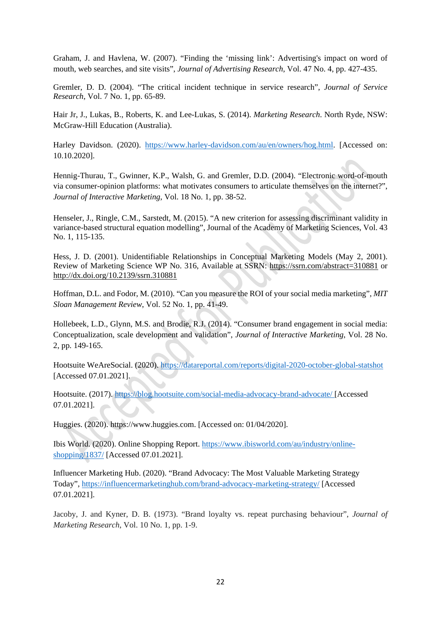Graham, J. and Havlena, W. (2007). "Finding the 'missing link': Advertising's impact on word of mouth, web searches, and site visits", *Journal of Advertising Research*, Vol. 47 No. 4, pp. 427-435.

Gremler, D. D. (2004). "The critical incident technique in service research", *Journal of Service Research*, Vol. 7 No. 1, pp. 65-89.

Hair Jr, J., Lukas, B., Roberts, K. and Lee-Lukas, S. (2014). *Marketing Research*. North Ryde, NSW: McGraw-Hill Education (Australia).

Harley Davidson. (2020). [https://www.harley-davidson.com/au/en/owners/hog.html.](https://www.harley-davidson.com/au/en/owners/hog.html) [Accessed on: 10.10.2020].

Hennig-Thurau, T., Gwinner, K.P., Walsh, G. and Gremler, D.D. (2004). "Electronic word-of-mouth via consumer-opinion platforms: what motivates consumers to articulate themselves on the internet?", *Journal of Interactive Marketing*, Vol. 18 No. 1, pp. 38-52.

Henseler, J., Ringle, C.M., Sarstedt, M. (2015). "A new criterion for assessing discriminant validity in variance-based structural equation modelling", Journal of the Academy of Marketing Sciences, Vol. 43 No. 1, 115-135.

Hess, J. D. (2001). Unidentifiable Relationships in Conceptual Marketing Models (May 2, 2001). Review of Marketing Science WP No. 316, Available at SSRN:<https://ssrn.com/abstract=310881> or [http://dx.doi.org/10.2139/ssrn.310881](https://dx.doi.org/10.2139/ssrn.310881) 

Hoffman, D.L. and Fodor, M. (2010). "Can you measure the ROI of your social media marketing", *MIT Sloan Management Review*, Vol. 52 No. 1, pp. 41-49.

Hollebeek, L.D., Glynn, M.S. and Brodie, R.J. (2014). "Consumer brand engagement in social media: Conceptualization, scale development and validation", *Journal of Interactive Marketing*, Vol. 28 No. 2, pp. 149-165.

Hootsuite WeAreSocial. (2020).<https://datareportal.com/reports/digital-2020-october-global-statshot> [Accessed 07.01.2021].

Hootsuite. (2017).<https://blog.hootsuite.com/social-media-advocacy-brand-advocate/> [Accessed 07.01.2021].

Huggies. (2020). [https://www.huggies.com.](https://www.huggies.com/) [Accessed on: 01/04/2020].

Ibis World. (2020). Online Shopping Report[. https://www.ibisworld.com/au/industry/online](https://www.ibisworld.com/au/industry/online-shopping/1837/)[shopping/1837/](https://www.ibisworld.com/au/industry/online-shopping/1837/) [Accessed 07.01.2021].

Influencer Marketing Hub. (2020). "Brand Advocacy: The Most Valuable Marketing Strategy Today",<https://influencermarketinghub.com/brand-advocacy-marketing-strategy/> [Accessed 07.01.2021].

Jacoby, J. and Kyner, D. B. (1973). "Brand loyalty vs. repeat purchasing behaviour", *Journal of Marketing Research*, Vol. 10 No. 1, pp. 1-9.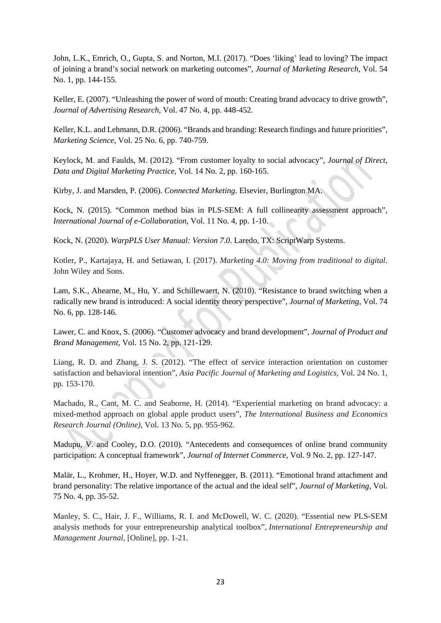John, L.K., Emrich, O., Gupta, S. and Norton, M.I. (2017). "Does 'liking' lead to loving? The impact of joining a brand's social network on marketing outcomes", *Journal of Marketing Research*, Vol. 54 No. 1, pp. 144-155.

Keller, E. (2007). "Unleashing the power of word of mouth: Creating brand advocacy to drive growth", *Journal of Advertising Research*, Vol. 47 No. 4, pp. 448-452.

Keller, K.L. and Lehmann, D.R. (2006). "Brands and branding: Research findings and future priorities", *Marketing Science*, Vol. 25 No. 6, pp. 740-759.

Keylock, M. and Faulds, M. (2012). "From customer loyalty to social advocacy", *Journal of Direct, Data and Digital Marketing Practice*, Vol. 14 No. 2, pp. 160-165.

Kirby, J. and Marsden, P. (2006). *Connected Marketing*. Elsevier, Burlington MA.

Kock, N. (2015). "Common method bias in PLS-SEM: A full collinearity assessment approach", *International Journal of e-Collaboration*, Vol. 11 No. 4, pp. 1-10.

Kock, N. (2020). *WarpPLS User Manual: Version 7.0*. Laredo, TX: ScriptWarp Systems.

Kotler, P., Kartajaya, H. and Setiawan, I. (2017). *Marketing 4.0: Moving from traditional to digital*. John Wiley and Sons.

Lam, S.K., Ahearne, M., Hu, Y. and Schillewaert, N. (2010). "Resistance to brand switching when a radically new brand is introduced: A social identity theory perspective", *Journal of Marketing*, Vol. 74 No. 6, pp. 128-146.

Lawer, C. and Knox, S. (2006). "Customer advocacy and brand development", *Journal of Product and Brand Management*, Vol. 15 No. 2, pp. 121-129.

Liang, R. D. and Zhang, J. S. (2012). "The effect of service interaction orientation on customer satisfaction and behavioral intention", *Asia Pacific Journal of Marketing and Logistics*, Vol. 24 No. 1, pp. 153-170.

Machado, R., Cant, M. C. and Seaborne, H. (2014). "Experiential marketing on brand advocacy: a mixed-method approach on global apple product users", *The International Business and Economics Research Journal (Online)*, Vol. 13 No. 5, pp. 955-962.

Madupu, V. and Cooley, D.O. (2010). "Antecedents and consequences of online brand community participation: A conceptual framework", *Journal of Internet Commerce*, Vol. 9 No. 2, pp. 127-147.

Malär, L., Krohmer, H., Hoyer, W.D. and Nyffenegger, B. (2011). "Emotional brand attachment and brand personality: The relative importance of the actual and the ideal self", *Journal of Marketing*, Vol. 75 No. 4, pp. 35-52.

Manley, S. C., Hair, J. F., Williams, R. I. and McDowell, W. C. (2020). "Essential new PLS-SEM analysis methods for your entrepreneurship analytical toolbox", *International Entrepreneurship and Management Journal*, [Online], pp. 1-21.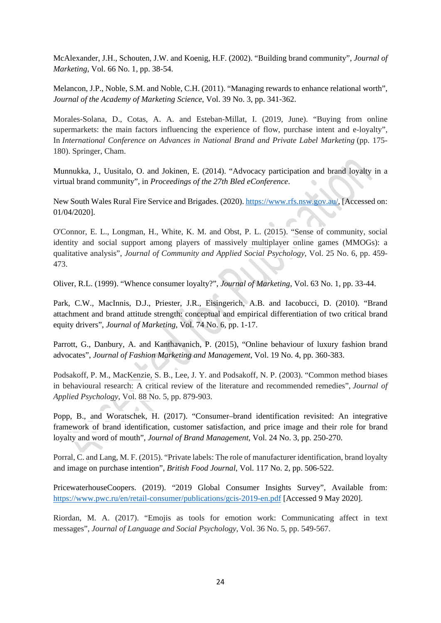McAlexander, J.H., Schouten, J.W. and Koenig, H.F. (2002). "Building brand community", *Journal of Marketing*, Vol. 66 No. 1, pp. 38-54.

Melancon, J.P., Noble, S.M. and Noble, C.H. (2011). "Managing rewards to enhance relational worth", *Journal of the Academy of Marketing Science*, Vol. 39 No. 3, pp. 341-362.

Morales-Solana, D., Cotas, A. A. and Esteban-Millat, I. (2019, June). "Buying from online supermarkets: the main factors influencing the experience of flow, purchase intent and e-loyalty", In *International Conference on Advances in National Brand and Private Label Marketing* (pp. 175- 180). Springer, Cham.

Munnukka, J., Uusitalo, O. and Jokinen, E. (2014). "Advocacy participation and brand loyalty in a virtual brand community", in *Proceedings of the 27th Bled eConference*.

New South Wales Rural Fire Service and Brigades. (2020). [https://www.rfs.nsw.gov.au/,](https://www.rfs.nsw.gov.au/) [Accessed on: 01/04/2020].

O'Connor, E. L., Longman, H., White, K. M. and Obst, P. L. (2015). "Sense of community, social identity and social support among players of massively multiplayer online games (MMOGs): a qualitative analysis", *Journal of Community and Applied Social Psychology*, Vol. 25 No. 6, pp. 459- 473.

Oliver, R.L. (1999). "Whence consumer loyalty?", *Journal of Marketing*, Vol. 63 No. 1, pp. 33-44.

Park, C.W., MacInnis, D.J., Priester, J.R., Eisingerich, A.B. and Iacobucci, D. (2010). "Brand attachment and brand attitude strength: conceptual and empirical differentiation of two critical brand equity drivers", *Journal of Marketing,* Vol. 74 No. 6, pp. 1-17.

Parrott, G., Danbury, A. and Kanthavanich, P. (2015), "Online behaviour of luxury fashion brand advocates", *Journal of Fashion Marketing and Management*, Vol. 19 No. 4, pp. 360-383.

Podsakoff, P. M., MacKenzie, S. B., Lee, J. Y. and Podsakoff, N. P. (2003). "Common method biases in behavioural research: A critical review of the literature and recommended remedies", *Journal of Applied Psychology*, Vol. 88 No. 5, pp. 879-903.

Popp, B., and Woratschek, H. (2017). "Consumer–brand identification revisited: An integrative framework of brand identification, customer satisfaction, and price image and their role for brand loyalty and word of mouth", *Journal of Brand Management*, Vol. 24 No. 3, pp. 250-270.

Porral, C. and Lang, M. F. (2015). "Private labels: The role of manufacturer identification, brand loyalty and image on purchase intention", *British Food Journal*, Vol. 117 No. 2, pp. 506-522.

PricewaterhouseCoopers. (2019). "2019 Global Consumer Insights Survey", Available from: <https://www.pwc.ru/en/retail-consumer/publications/gcis-2019-en.pdf> [Accessed 9 May 2020].

Riordan, M. A. (2017). "Emojis as tools for emotion work: Communicating affect in text messages", *Journal of Language and Social Psychology*, Vol. 36 No. 5, pp. 549-567.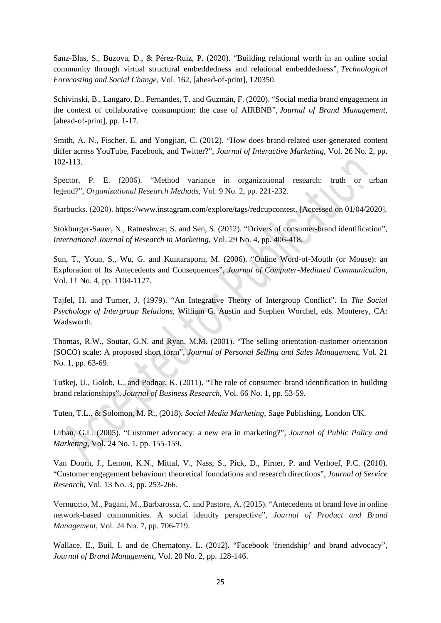Sanz-Blas, S., Buzova, D., & Pérez-Ruiz, P. (2020). "Building relational worth in an online social community through virtual structural embeddedness and relational embeddedness", *Technological Forecasting and Social Change*, Vol. 162, [ahead-of-print], 120350.

Schivinski, B., Langaro, D., Fernandes, T. and Guzmán, F. (2020). "Social media brand engagement in the context of collaborative consumption: the case of AIRBNB", *Journal of Brand Management*, [ahead-of-print], pp. 1-17.

Smith, A. N., Fischer, E. and Yongjian, C. (2012). "How does brand-related user-generated content differ across YouTube, Facebook, and Twitter?", *Journal of Interactive Marketing*, Vol. 26 No. 2, pp. 102-113.

Spector, P. E. (2006). "Method variance in organizational research: truth or urban legend?", *Organizational Research Methods*, Vol. 9 No. 2, pp. 221-232.

Starbucks. (2020). [https://www.instagram.com/explore/tags/redcupcontest,](https://www.instagram.com/explore/tags/redcupcontest) [Accessed on 01/04/2020].

Stokburger-Sauer, N., Ratneshwar, S. and Sen, S. (2012). "Drivers of consumer-brand identification", *International Journal of Research in Marketing*, Vol. 29 No. 4, pp. 406-418.

Sun, T., Youn, S., Wu, G. and Kuntaraporn, M. (2006). "Online Word-of-Mouth (or Mouse): an Exploration of Its Antecedents and Consequences", *Journal of Computer-Mediated Communication*, Vol. 11 No. 4, pp. 1104-1127.

Tajfel, H. and Turner, J. (1979). "An Integrative Theory of Intergroup Conflict". In *The Social Psychology of Intergroup Relations*, William G. Austin and Stephen Worchel, eds. Monterey, CA: Wadsworth.

Thomas, R.W., Soutar, G.N. and Ryan, M.M. (2001). "The selling orientation-customer orientation (SOCO) scale: A proposed short form", *Journal of Personal Selling and Sales Management*, Vol. 21 No. 1, pp. 63-69.

Tuškej, U., Golob, U. and Podnar, K. (2011). "The role of consumer–brand identification in building brand relationships", *Journal of Business Research*, Vol. 66 No. 1, pp. 53-59.

Tuten, T.L., & Solomon, M. R., (2018). *Social Media Marketing*, Sage Publishing, London UK.

Urban, G.L. (2005). "Customer advocacy: a new era in marketing?", *Journal of Public Policy and Marketing*, Vol. 24 No. 1, pp. 155-159.

Van Doorn, J., Lemon, K.N., Mittal, V., Nass, S., Pick, D., Pirner, P. and Verhoef, P.C. (2010). "Customer engagement behaviour: theoretical foundations and research directions", *Journal of Service Research*, Vol. 13 No. 3, pp. 253-266.

Vernuccio, M., Pagani, M., Barbarossa, C. and Pastore, A. (2015). "Antecedents of brand love in online network-based communities. A social identity perspective", *Journal of Product and Brand Management*, Vol. 24 No. 7, pp. 706-719.

Wallace, E., Buil, I. and de Chernatony, L. (2012). "Facebook 'friendship' and brand advocacy", *Journal of Brand Management*, Vol. 20 No. 2, pp. 128-146.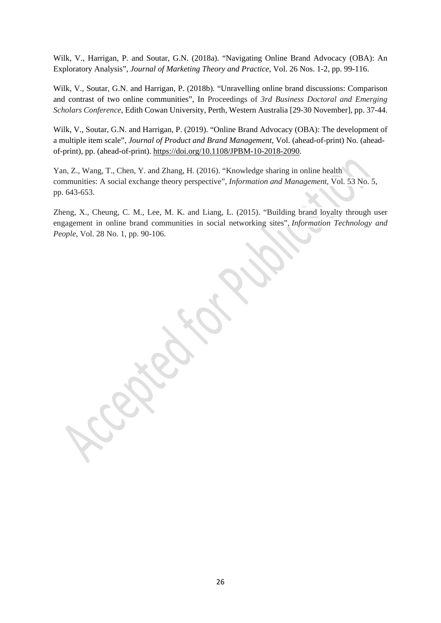Wilk, V., Harrigan, P. and Soutar, G.N. (2018a). "Navigating Online Brand Advocacy (OBA): An Exploratory Analysis", *Journal of Marketing Theory and Practice*, Vol. 26 Nos. 1-2, pp. 99-116.

Wilk, V., Soutar, G.N. and Harrigan, P. (2018b). "Unravelling online brand discussions: Comparison and contrast of two online communities", In Proceedings of *3rd Business Doctoral and Emerging Scholars Conference*, Edith Cowan University, Perth, Western Australia [29-30 November], pp. 37-44.

Wilk, V., Soutar, G.N. and Harrigan, P. (2019). "Online Brand Advocacy (OBA): The development of a multiple item scale", *Journal of Product and Brand Management*, Vol. (ahead-of-print) No. (aheadof-print), pp. (ahead-of-print). [https://doi.org/10.1108/JPBM-10-2018-2090.](https://doi.org/10.1108/JPBM-10-2018-2090)

Yan, Z., Wang, T., Chen, Y. and Zhang, H. (2016). "Knowledge sharing in online health communities: A social exchange theory perspective", *Information and Management*, Vol. 53 No. 5, pp. 643-653.

Zheng, X., Cheung, C. M., Lee, M. K. and Liang, L. (2015). "Building brand loyalty through user engagement in online brand communities in social networking sites", *Information Technology and People*, Vol. 28 No. 1, pp. 90-106.

26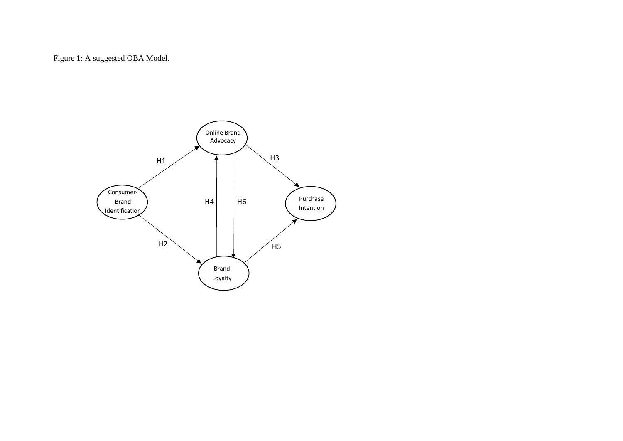Figure 1: A suggested OBA Model.

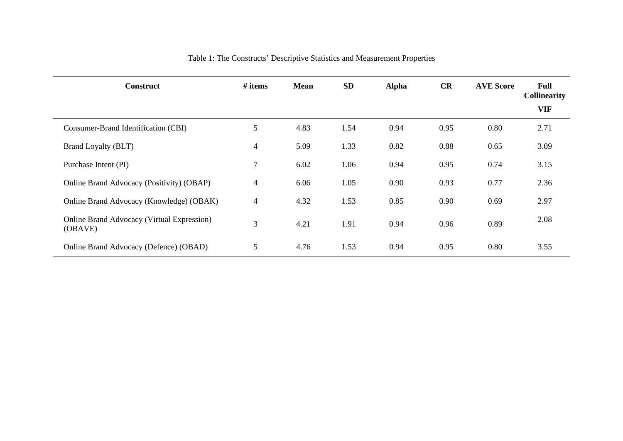| <b>Construct</b>                                             | # items        | <b>Mean</b> | <b>SD</b> | <b>Alpha</b> | CR   | <b>AVE Score</b> | Full<br><b>Collinearity</b><br><b>VIF</b> |
|--------------------------------------------------------------|----------------|-------------|-----------|--------------|------|------------------|-------------------------------------------|
| Consumer-Brand Identification (CBI)                          | 5              | 4.83        | 1.54      | 0.94         | 0.95 | 0.80             | 2.71                                      |
| Brand Loyalty (BLT)                                          | $\overline{4}$ | 5.09        | 1.33      | 0.82         | 0.88 | 0.65             | 3.09                                      |
| Purchase Intent (PI)                                         | 7              | 6.02        | 1.06      | 0.94         | 0.95 | 0.74             | 3.15                                      |
| Online Brand Advocacy (Positivity) (OBAP)                    | 4              | 6.06        | 1.05      | 0.90         | 0.93 | 0.77             | 2.36                                      |
| Online Brand Advocacy (Knowledge) (OBAK)                     | 4              | 4.32        | 1.53      | 0.85         | 0.90 | 0.69             | 2.97                                      |
| <b>Online Brand Advocacy (Virtual Expression)</b><br>(OBAVE) | 3              | 4.21        | 1.91      | 0.94         | 0.96 | 0.89             | 2.08                                      |
| Online Brand Advocacy (Defence) (OBAD)                       | 5              | 4.76        | 1.53      | 0.94         | 0.95 | 0.80             | 3.55                                      |

# Table 1: The Constructs' Descriptive Statistics and Measurement Properties